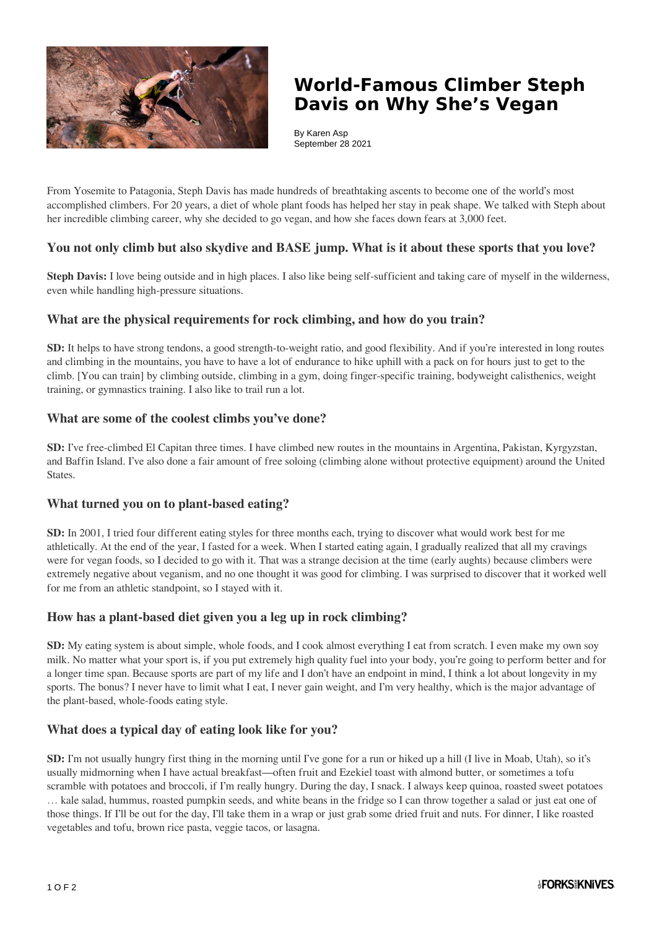

# **World-Famous Climber Steph Davis on Why She's Vegan**

By Karen Asp September 28 2021

From Yosemite to Patagonia, Steph Davis has made hundreds of breathtaking ascents to become one of the world's most accomplished climbers. For 20 years, a diet of whole plant foods has helped her stay in peak shape. We talked with Steph about her incredible climbing career, why she decided to go vegan, and how she faces down fears at 3,000 feet.

## **You not only climb but also skydive and BASE jump. What is it about these sports that you love?**

**Steph Davis:** I love being outside and in high places. I also like being self-sufficient and taking care of myself in the wilderness, even while handling high-pressure situations.

#### **What are the physical requirements for rock climbing, and how do you train?**

**SD:** It helps to have strong tendons, a good strength-to-weight ratio, and good flexibility. And if you're interested in long routes and climbing in the mountains, you have to have a lot of endurance to hike uphill with a pack on for hours just to get to the climb. [You can train] by climbing outside, climbing in a gym, doing finger-specific training, bodyweight calisthenics, weight training, or gymnastics training. I also like to trail run a lot.

#### **What are some of the coolest climbs you've done?**

**SD:** I've free-climbed El Capitan three times. I have climbed new routes in the mountains in Argentina, Pakistan, Kyrgyzstan, and Baffin Island. I've also done a fair amount of free soloing (climbing alone without protective equipment) around the United States.

#### **What turned you on to plant-based eating?**

**SD:** In 2001, I tried four different eating styles for three months each, trying to discover what would work best for me athletically. At the end of the year, I fasted for a week. When I started eating again, I gradually realized that all my cravings were for vegan foods, so I decided to go with it. That was a strange decision at the time (early aughts) because climbers were extremely negative about veganism, and no one thought it was good for climbing. I was surprised to discover that it worked well for me from an athletic standpoint, so I stayed with it.

#### **How has a plant-based diet given you a leg up in rock climbing?**

**SD:** My eating system is about simple, whole foods, and I cook almost everything I eat from scratch. I even make my own soy milk. No matter what your sport is, if you put extremely high quality fuel into your body, you're going to perform better and for a longer time span. Because sports are part of my life and I don't have an endpoint in mind, I think a lot about longevity in my sports. The bonus? I never have to limit what I eat, I never gain weight, and I'm very healthy, which is the major advantage of the plant-based, whole-foods eating style.

# **What does a typical day of eating look like for you?**

**SD:** I'm not usually hungry first thing in the morning until I've gone for a run or hiked up a hill (I live in Moab, Utah), so it's usually midmorning when I have actual breakfast—often fruit and Ezekiel toast with almond butter, or sometimes a tofu scramble with potatoes and broccoli, if I'm really hungry. During the day, I snack. I always keep quinoa, roasted sweet potatoes … kale salad, hummus, roasted pumpkin seeds, and white beans in the fridge so I can throw together a salad or just eat one of those things. If I'll be out for the day, I'll take them in a wrap or just grab some dried fruit and nuts. For dinner, I like roasted vegetables and tofu, brown rice pasta, veggie tacos, or lasagna.